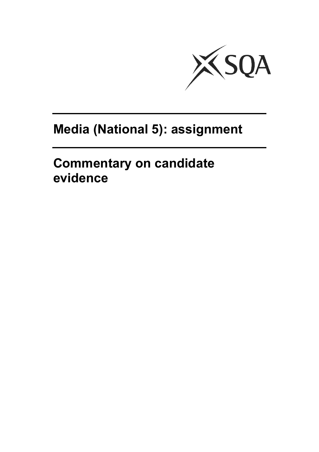

# **Media (National 5): assignment**

**Commentary on candidate evidence**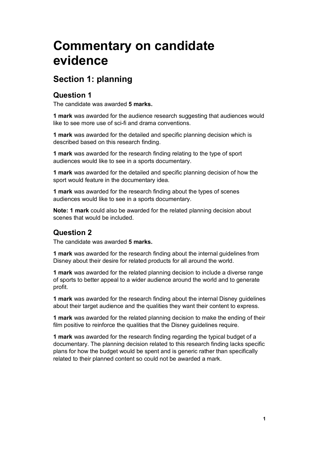# **Commentary on candidate evidence**

# **Section 1: planning**

#### **Question 1**

The candidate was awarded **5 marks.**

**1 mark** was awarded for the audience research suggesting that audiences would like to see more use of sci-fi and drama conventions.

**1 mark** was awarded for the detailed and specific planning decision which is described based on this research finding.

**1 mark** was awarded for the research finding relating to the type of sport audiences would like to see in a sports documentary.

**1 mark** was awarded for the detailed and specific planning decision of how the sport would feature in the documentary idea.

**1 mark** was awarded for the research finding about the types of scenes audiences would like to see in a sports documentary.

**Note: 1 mark** could also be awarded for the related planning decision about scenes that would be included.

#### **Question 2**

The candidate was awarded **5 marks.** 

**1 mark** was awarded for the research finding about the internal guidelines from Disney about their desire for related products for all around the world.

**1 mark** was awarded for the related planning decision to include a diverse range of sports to better appeal to a wider audience around the world and to generate profit.

**1 mark** was awarded for the research finding about the internal Disney guidelines about their target audience and the qualities they want their content to express.

**1 mark** was awarded for the related planning decision to make the ending of their film positive to reinforce the qualities that the Disney guidelines require.

**1 mark** was awarded for the research finding regarding the typical budget of a documentary. The planning decision related to this research finding lacks specific plans for how the budget would be spent and is generic rather than specifically related to their planned content so could not be awarded a mark.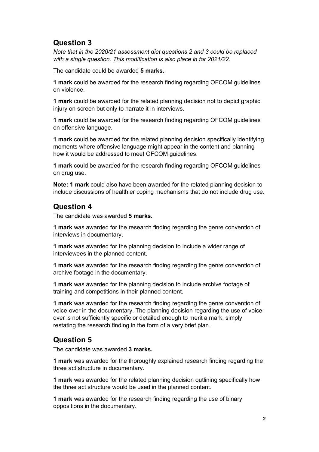## **Question 3**

*Note that in the 2020/21 assessment diet questions 2 and 3 could be replaced with a single question. This modification is also place in for 2021/22.*

The candidate could be awarded **5 marks**.

**1 mark** could be awarded for the research finding regarding OFCOM guidelines on violence.

**1 mark** could be awarded for the related planning decision not to depict graphic injury on screen but only to narrate it in interviews.

**1 mark** could be awarded for the research finding regarding OFCOM guidelines on offensive language.

**1 mark** could be awarded for the related planning decision specifically identifying moments where offensive language might appear in the content and planning how it would be addressed to meet OFCOM guidelines.

**1 mark** could be awarded for the research finding regarding OFCOM guidelines on drug use.

**Note: 1 mark** could also have been awarded for the related planning decision to include discussions of healthier coping mechanisms that do not include drug use.

#### **Question 4**

The candidate was awarded **5 marks.** 

**1 mark** was awarded for the research finding regarding the genre convention of interviews in documentary.

**1 mark** was awarded for the planning decision to include a wider range of interviewees in the planned content.

**1 mark** was awarded for the research finding regarding the genre convention of archive footage in the documentary.

**1 mark** was awarded for the planning decision to include archive footage of training and competitions in their planned content.

**1 mark** was awarded for the research finding regarding the genre convention of voice-over in the documentary. The planning decision regarding the use of voiceover is not sufficiently specific or detailed enough to merit a mark, simply restating the research finding in the form of a very brief plan.

#### **Question 5**

The candidate was awarded **3 marks.**

**1 mark** was awarded for the thoroughly explained research finding regarding the three act structure in documentary.

**1 mark** was awarded for the related planning decision outlining specifically how the three act structure would be used in the planned content.

**1 mark** was awarded for the research finding regarding the use of binary oppositions in the documentary.